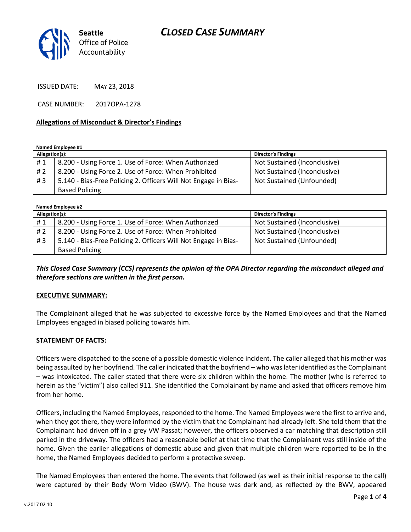

ISSUED DATE: MAY 23, 2018

CASE NUMBER: 2017OPA-1278

#### **Allegations of Misconduct & Director's Findings**

**Named Employee #1**

| Allegation(s): |                                                                 | <b>Director's Findings</b>   |
|----------------|-----------------------------------------------------------------|------------------------------|
| #1             | 8.200 - Using Force 1. Use of Force: When Authorized            | Not Sustained (Inconclusive) |
| # 2            | 8.200 - Using Force 2. Use of Force: When Prohibited            | Not Sustained (Inconclusive) |
| #3             | 5.140 - Bias-Free Policing 2. Officers Will Not Engage in Bias- | Not Sustained (Unfounded)    |
|                | <b>Based Policing</b>                                           |                              |

| Named Employee #2 |                                                                 |                              |  |
|-------------------|-----------------------------------------------------------------|------------------------------|--|
| Allegation(s):    |                                                                 | <b>Director's Findings</b>   |  |
| #1                | 8.200 - Using Force 1. Use of Force: When Authorized            | Not Sustained (Inconclusive) |  |
| # 2               | 8.200 - Using Force 2. Use of Force: When Prohibited            | Not Sustained (Inconclusive) |  |
| #3                | 5.140 - Bias-Free Policing 2. Officers Will Not Engage in Bias- | Not Sustained (Unfounded)    |  |
|                   | <b>Based Policing</b>                                           |                              |  |

*This Closed Case Summary (CCS) represents the opinion of the OPA Director regarding the misconduct alleged and therefore sections are written in the first person.* 

#### **EXECUTIVE SUMMARY:**

The Complainant alleged that he was subjected to excessive force by the Named Employees and that the Named Employees engaged in biased policing towards him.

#### **STATEMENT OF FACTS:**

Officers were dispatched to the scene of a possible domestic violence incident. The caller alleged that his mother was being assaulted by her boyfriend. The caller indicated that the boyfriend – who was later identified as the Complainant – was intoxicated. The caller stated that there were six children within the home. The mother (who is referred to herein as the "victim") also called 911. She identified the Complainant by name and asked that officers remove him from her home.

Officers, including the Named Employees, responded to the home. The Named Employees were the first to arrive and, when they got there, they were informed by the victim that the Complainant had already left. She told them that the Complainant had driven off in a grey VW Passat; however, the officers observed a car matching that description still parked in the driveway. The officers had a reasonable belief at that time that the Complainant was still inside of the home. Given the earlier allegations of domestic abuse and given that multiple children were reported to be in the home, the Named Employees decided to perform a protective sweep.

The Named Employees then entered the home. The events that followed (as well as their initial response to the call) were captured by their Body Worn Video (BWV). The house was dark and, as reflected by the BWV, appeared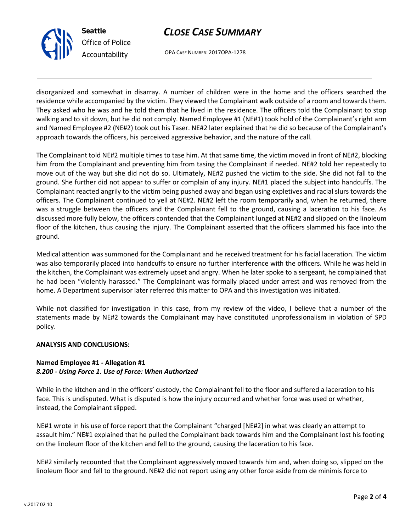

# *CLOSE CASE SUMMARY*

OPA CASE NUMBER: 2017OPA-1278

disorganized and somewhat in disarray. A number of children were in the home and the officers searched the residence while accompanied by the victim. They viewed the Complainant walk outside of a room and towards them. They asked who he was and he told them that he lived in the residence. The officers told the Complainant to stop walking and to sit down, but he did not comply. Named Employee #1 (NE#1) took hold of the Complainant's right arm and Named Employee #2 (NE#2) took out his Taser. NE#2 later explained that he did so because of the Complainant's approach towards the officers, his perceived aggressive behavior, and the nature of the call.

The Complainant told NE#2 multiple times to tase him. At that same time, the victim moved in front of NE#2, blocking him from the Complainant and preventing him from tasing the Complainant if needed. NE#2 told her repeatedly to move out of the way but she did not do so. Ultimately, NE#2 pushed the victim to the side. She did not fall to the ground. She further did not appear to suffer or complain of any injury. NE#1 placed the subject into handcuffs. The Complainant reacted angrily to the victim being pushed away and began using expletives and racial slurs towards the officers. The Complainant continued to yell at NE#2. NE#2 left the room temporarily and, when he returned, there was a struggle between the officers and the Complainant fell to the ground, causing a laceration to his face. As discussed more fully below, the officers contended that the Complainant lunged at NE#2 and slipped on the linoleum floor of the kitchen, thus causing the injury. The Complainant asserted that the officers slammed his face into the ground.

Medical attention was summoned for the Complainant and he received treatment for his facial laceration. The victim was also temporarily placed into handcuffs to ensure no further interference with the officers. While he was held in the kitchen, the Complainant was extremely upset and angry. When he later spoke to a sergeant, he complained that he had been "violently harassed." The Complainant was formally placed under arrest and was removed from the home. A Department supervisor later referred this matter to OPA and this investigation was initiated.

While not classified for investigation in this case, from my review of the video, I believe that a number of the statements made by NE#2 towards the Complainant may have constituted unprofessionalism in violation of SPD policy.

#### **ANALYSIS AND CONCLUSIONS:**

### **Named Employee #1 - Allegation #1** *8.200 - Using Force 1. Use of Force: When Authorized*

While in the kitchen and in the officers' custody, the Complainant fell to the floor and suffered a laceration to his face. This is undisputed. What is disputed is how the injury occurred and whether force was used or whether, instead, the Complainant slipped.

NE#1 wrote in his use of force report that the Complainant "charged [NE#2] in what was clearly an attempt to assault him." NE#1 explained that he pulled the Complainant back towards him and the Complainant lost his footing on the linoleum floor of the kitchen and fell to the ground, causing the laceration to his face.

NE#2 similarly recounted that the Complainant aggressively moved towards him and, when doing so, slipped on the linoleum floor and fell to the ground. NE#2 did not report using any other force aside from de minimis force to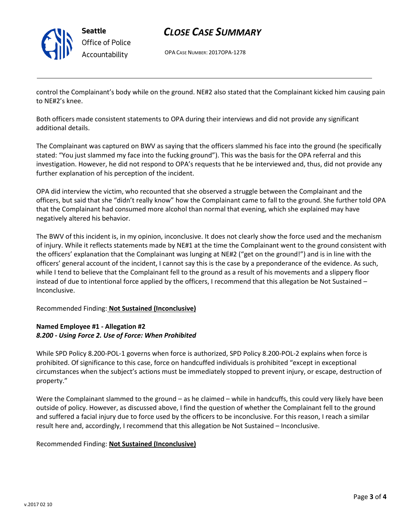

**Seattle** *Office of Police Accountability*

# *CLOSE CASE SUMMARY*

OPA CASE NUMBER: 2017OPA-1278

control the Complainant's body while on the ground. NE#2 also stated that the Complainant kicked him causing pain to NE#2's knee.

Both officers made consistent statements to OPA during their interviews and did not provide any significant additional details.

The Complainant was captured on BWV as saying that the officers slammed his face into the ground (he specifically stated: "You just slammed my face into the fucking ground"). This was the basis for the OPA referral and this investigation. However, he did not respond to OPA's requests that he be interviewed and, thus, did not provide any further explanation of his perception of the incident.

OPA did interview the victim, who recounted that she observed a struggle between the Complainant and the officers, but said that she "didn't really know" how the Complainant came to fall to the ground. She further told OPA that the Complainant had consumed more alcohol than normal that evening, which she explained may have negatively altered his behavior.

The BWV of this incident is, in my opinion, inconclusive. It does not clearly show the force used and the mechanism of injury. While it reflects statements made by NE#1 at the time the Complainant went to the ground consistent with the officers' explanation that the Complainant was lunging at NE#2 ("get on the ground!") and is in line with the officers' general account of the incident, I cannot say this is the case by a preponderance of the evidence. As such, while I tend to believe that the Complainant fell to the ground as a result of his movements and a slippery floor instead of due to intentional force applied by the officers, I recommend that this allegation be Not Sustained – Inconclusive.

Recommended Finding: **Not Sustained (Inconclusive)**

# **Named Employee #1 - Allegation #2** *8.200 - Using Force 2. Use of Force: When Prohibited*

While SPD Policy 8.200-POL-1 governs when force is authorized, SPD Policy 8.200-POL-2 explains when force is prohibited. Of significance to this case, force on handcuffed individuals is prohibited "except in exceptional circumstances when the subject's actions must be immediately stopped to prevent injury, or escape, destruction of property."

Were the Complainant slammed to the ground – as he claimed – while in handcuffs, this could very likely have been outside of policy. However, as discussed above, I find the question of whether the Complainant fell to the ground and suffered a facial injury due to force used by the officers to be inconclusive. For this reason, I reach a similar result here and, accordingly, I recommend that this allegation be Not Sustained – Inconclusive.

## Recommended Finding: **Not Sustained (Inconclusive)**